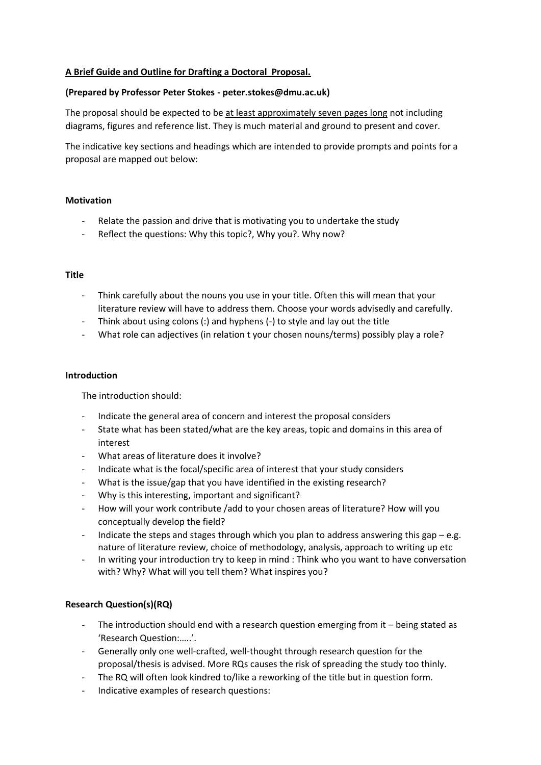# **A Brief Guide and Outline for Drafting a Doctoral Proposal.**

## **(Prepared by Professor Peter Stokes - peter.stokes@dmu.ac.uk)**

The proposal should be expected to be at least approximately seven pages long not including diagrams, figures and reference list. They is much material and ground to present and cover.

The indicative key sections and headings which are intended to provide prompts and points for a proposal are mapped out below:

### **Motivation**

- Relate the passion and drive that is motivating you to undertake the study
- Reflect the questions: Why this topic?, Why you?. Why now?

### **Title**

- Think carefully about the nouns you use in your title. Often this will mean that your literature review will have to address them. Choose your words advisedly and carefully.
- Think about using colons (:) and hyphens (-) to style and lay out the title
- What role can adjectives (in relation t your chosen nouns/terms) possibly play a role?

### **Introduction**

The introduction should:

- Indicate the general area of concern and interest the proposal considers
- State what has been stated/what are the key areas, topic and domains in this area of interest
- What areas of literature does it involve?
- Indicate what is the focal/specific area of interest that your study considers
- What is the issue/gap that you have identified in the existing research?
- Why is this interesting, important and significant?
- How will your work contribute /add to your chosen areas of literature? How will you conceptually develop the field?
- Indicate the steps and stages through which you plan to address answering this gap  $-e.g.$ nature of literature review, choice of methodology, analysis, approach to writing up etc
- In writing your introduction try to keep in mind : Think who you want to have conversation with? Why? What will you tell them? What inspires you?

# **Research Question(s)(RQ)**

- The introduction should end with a research question emerging from  $it$  being stated as 'Research Question:…..'.
- Generally only one well-crafted, well-thought through research question for the proposal/thesis is advised. More RQs causes the risk of spreading the study too thinly.
- The RQ will often look kindred to/like a reworking of the title but in question form.
- Indicative examples of research questions: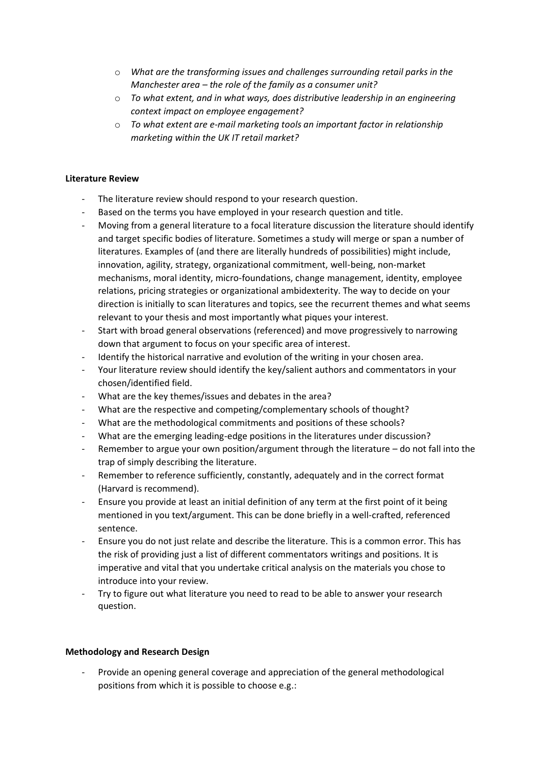- o *What are the transforming issues and challenges surrounding retail parks in the Manchester area – the role of the family as a consumer unit?*
- o *To what extent, and in what ways, does distributive leadership in an engineering context impact on employee engagement?*
- o *To what extent are e-mail marketing tools an important factor in relationship marketing within the UK IT retail market?*

## **Literature Review**

- The literature review should respond to your research question.
- Based on the terms you have employed in your research question and title.
- Moving from a general literature to a focal literature discussion the literature should identify and target specific bodies of literature. Sometimes a study will merge or span a number of literatures. Examples of (and there are literally hundreds of possibilities) might include, innovation, agility, strategy, organizational commitment, well-being, non-market mechanisms, moral identity, micro-foundations, change management, identity, employee relations, pricing strategies or organizational ambidexterity. The way to decide on your direction is initially to scan literatures and topics, see the recurrent themes and what seems relevant to your thesis and most importantly what piques your interest.
- Start with broad general observations (referenced) and move progressively to narrowing down that argument to focus on your specific area of interest.
- Identify the historical narrative and evolution of the writing in your chosen area.
- Your literature review should identify the key/salient authors and commentators in your chosen/identified field.
- What are the key themes/issues and debates in the area?
- What are the respective and competing/complementary schools of thought?
- What are the methodological commitments and positions of these schools?
- What are the emerging leading-edge positions in the literatures under discussion?
- Remember to argue your own position/argument through the literature  $-$  do not fall into the trap of simply describing the literature.
- Remember to reference sufficiently, constantly, adequately and in the correct format (Harvard is recommend).
- Ensure you provide at least an initial definition of any term at the first point of it being mentioned in you text/argument. This can be done briefly in a well-crafted, referenced sentence.
- Ensure you do not just relate and describe the literature. This is a common error. This has the risk of providing just a list of different commentators writings and positions. It is imperative and vital that you undertake critical analysis on the materials you chose to introduce into your review.
- Try to figure out what literature you need to read to be able to answer your research question.

### **Methodology and Research Design**

- Provide an opening general coverage and appreciation of the general methodological positions from which it is possible to choose e.g.: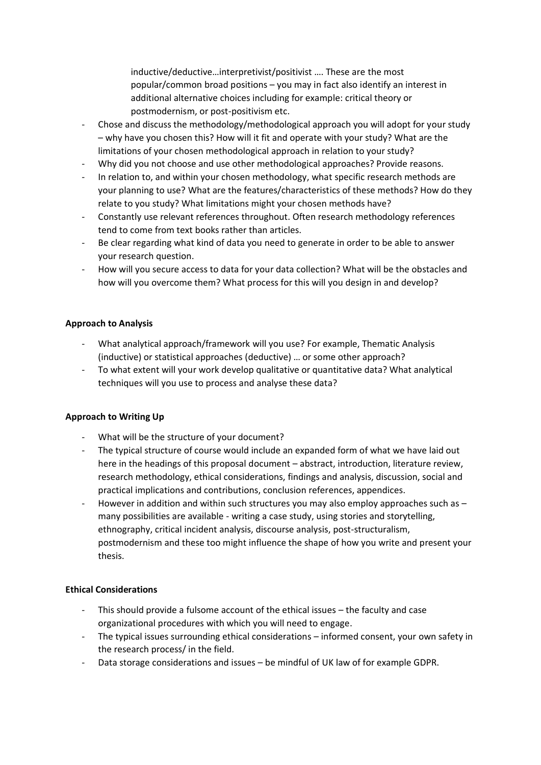inductive/deductive…interpretivist/positivist …. These are the most popular/common broad positions – you may in fact also identify an interest in additional alternative choices including for example: critical theory or postmodernism, or post-positivism etc.

- Chose and discuss the methodology/methodological approach you will adopt for your study – why have you chosen this? How will it fit and operate with your study? What are the limitations of your chosen methodological approach in relation to your study?
- Why did you not choose and use other methodological approaches? Provide reasons.
- In relation to, and within your chosen methodology, what specific research methods are your planning to use? What are the features/characteristics of these methods? How do they relate to you study? What limitations might your chosen methods have?
- Constantly use relevant references throughout. Often research methodology references tend to come from text books rather than articles.
- Be clear regarding what kind of data you need to generate in order to be able to answer your research question.
- How will you secure access to data for your data collection? What will be the obstacles and how will you overcome them? What process for this will you design in and develop?

# **Approach to Analysis**

- What analytical approach/framework will you use? For example, Thematic Analysis (inductive) or statistical approaches (deductive) … or some other approach?
- To what extent will your work develop qualitative or quantitative data? What analytical techniques will you use to process and analyse these data?

### **Approach to Writing Up**

- What will be the structure of your document?
- The typical structure of course would include an expanded form of what we have laid out here in the headings of this proposal document – abstract, introduction, literature review, research methodology, ethical considerations, findings and analysis, discussion, social and practical implications and contributions, conclusion references, appendices.
- However in addition and within such structures you may also employ approaches such as  $$ many possibilities are available - writing a case study, using stories and storytelling, ethnography, critical incident analysis, discourse analysis, post-structuralism, postmodernism and these too might influence the shape of how you write and present your thesis.

### **Ethical Considerations**

- This should provide a fulsome account of the ethical issues the faculty and case organizational procedures with which you will need to engage.
- The typical issues surrounding ethical considerations informed consent, your own safety in the research process/ in the field.
- Data storage considerations and issues be mindful of UK law of for example GDPR.